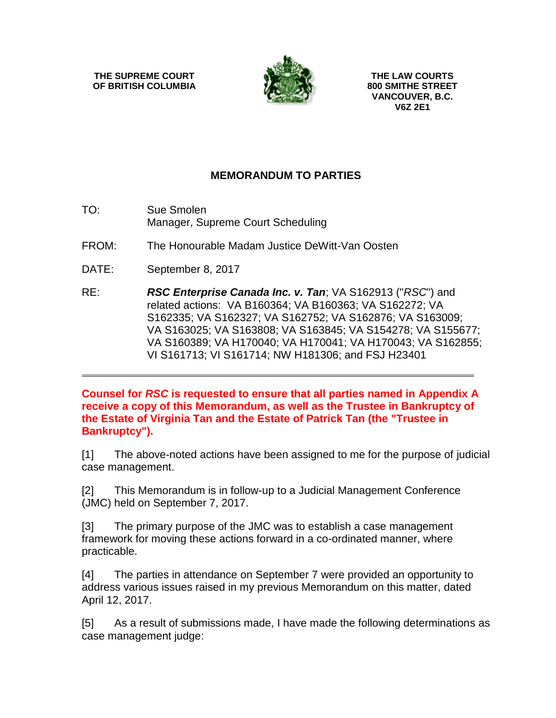**THE SUPREME COURT OF BRITISH COLUMBIA**



**THE LAW COURTS 800 SMITHE STREET VANCOUVER, B.C. V6Z 2E1**

## **MEMORANDUM TO PARTIES**

- TO: Sue Smolen Manager, Supreme Court Scheduling
- FROM: The Honourable Madam Justice DeWitt-Van Oosten
- DATE: September 8, 2017
- RE: *RSC Enterprise Canada Inc. v. Tan*; VA S162913 ("*RSC*") and related actions: VA B160364; VA B160363; VA S162272; VA S162335; VA S162327; VA S162752; VA S162876; VA S163009; VA S163025; VA S163808; VA S163845; VA S154278; VA S155677; VA S160389; VA H170040; VA H170041; VA H170043; VA S162855; VI S161713; VI S161714; NW H181306; and FSJ H23401

**Counsel for** *RSC* **is requested to ensure that all parties named in Appendix A receive a copy of this Memorandum, as well as the Trustee in Bankruptcy of the Estate of Virginia Tan and the Estate of Patrick Tan (the "Trustee in Bankruptcy").**

[1] The above-noted actions have been assigned to me for the purpose of judicial case management.

[2] This Memorandum is in follow-up to a Judicial Management Conference (JMC) held on September 7, 2017.

[3] The primary purpose of the JMC was to establish a case management framework for moving these actions forward in a co-ordinated manner, where practicable.

[4] The parties in attendance on September 7 were provided an opportunity to address various issues raised in my previous Memorandum on this matter, dated April 12, 2017.

[5] As a result of submissions made, I have made the following determinations as case management judge: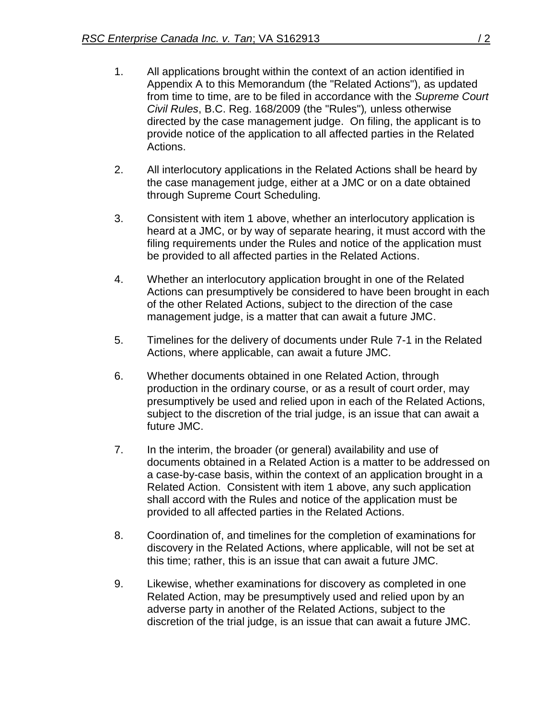- 1. All applications brought within the context of an action identified in Appendix A to this Memorandum (the "Related Actions"), as updated from time to time, are to be filed in accordance with the *Supreme Court Civil Rules*, B.C. Reg. 168/2009 (the "Rules")*,* unless otherwise directed by the case management judge. On filing, the applicant is to provide notice of the application to all affected parties in the Related Actions.
- 2. All interlocutory applications in the Related Actions shall be heard by the case management judge, either at a JMC or on a date obtained through Supreme Court Scheduling.
- 3. Consistent with item 1 above, whether an interlocutory application is heard at a JMC, or by way of separate hearing, it must accord with the filing requirements under the Rules and notice of the application must be provided to all affected parties in the Related Actions.
- 4. Whether an interlocutory application brought in one of the Related Actions can presumptively be considered to have been brought in each of the other Related Actions, subject to the direction of the case management judge, is a matter that can await a future JMC.
- 5. Timelines for the delivery of documents under Rule 7-1 in the Related Actions, where applicable, can await a future JMC.
- 6. Whether documents obtained in one Related Action, through production in the ordinary course, or as a result of court order, may presumptively be used and relied upon in each of the Related Actions, subject to the discretion of the trial judge, is an issue that can await a future JMC.
- 7. In the interim, the broader (or general) availability and use of documents obtained in a Related Action is a matter to be addressed on a case-by-case basis, within the context of an application brought in a Related Action. Consistent with item 1 above, any such application shall accord with the Rules and notice of the application must be provided to all affected parties in the Related Actions.
- 8. Coordination of, and timelines for the completion of examinations for discovery in the Related Actions, where applicable, will not be set at this time; rather, this is an issue that can await a future JMC.
- 9. Likewise, whether examinations for discovery as completed in one Related Action, may be presumptively used and relied upon by an adverse party in another of the Related Actions, subject to the discretion of the trial judge, is an issue that can await a future JMC.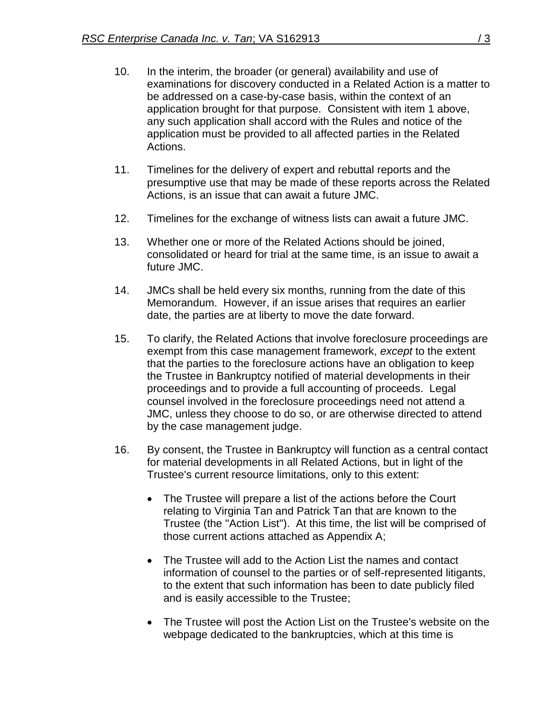- 10. In the interim, the broader (or general) availability and use of examinations for discovery conducted in a Related Action is a matter to be addressed on a case-by-case basis, within the context of an application brought for that purpose. Consistent with item 1 above, any such application shall accord with the Rules and notice of the application must be provided to all affected parties in the Related Actions.
- 11. Timelines for the delivery of expert and rebuttal reports and the presumptive use that may be made of these reports across the Related Actions, is an issue that can await a future JMC.
- 12. Timelines for the exchange of witness lists can await a future JMC.
- 13. Whether one or more of the Related Actions should be joined, consolidated or heard for trial at the same time, is an issue to await a future JMC.
- 14. JMCs shall be held every six months, running from the date of this Memorandum. However, if an issue arises that requires an earlier date, the parties are at liberty to move the date forward.
- 15. To clarify, the Related Actions that involve foreclosure proceedings are exempt from this case management framework, *except* to the extent that the parties to the foreclosure actions have an obligation to keep the Trustee in Bankruptcy notified of material developments in their proceedings and to provide a full accounting of proceeds. Legal counsel involved in the foreclosure proceedings need not attend a JMC, unless they choose to do so, or are otherwise directed to attend by the case management judge.
- 16. By consent, the Trustee in Bankruptcy will function as a central contact for material developments in all Related Actions, but in light of the Trustee's current resource limitations, only to this extent:
	- The Trustee will prepare a list of the actions before the Court relating to Virginia Tan and Patrick Tan that are known to the Trustee (the "Action List"). At this time, the list will be comprised of those current actions attached as Appendix A;
	- The Trustee will add to the Action List the names and contact information of counsel to the parties or of self-represented litigants, to the extent that such information has been to date publicly filed and is easily accessible to the Trustee;
	- The Trustee will post the Action List on the Trustee's website on the webpage dedicated to the bankruptcies, which at this time is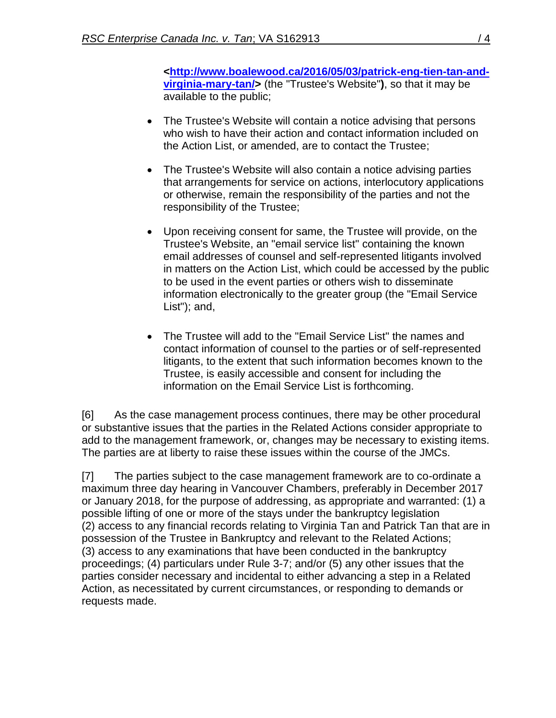**[<http://www.boalewood.ca/2016/05/03/patrick-eng-tien-tan-and](http://www.boalewood.ca/2016/05/03/patrick-eng-tien-tan-and-%e2%80%a8virginia-mary-tan/)[virginia-mary-tan/>](http://www.boalewood.ca/2016/05/03/patrick-eng-tien-tan-and-%e2%80%a8virginia-mary-tan/)** (the "Trustee's Website"**)**, so that it may be available to the public;

- The Trustee's Website will contain a notice advising that persons who wish to have their action and contact information included on the Action List, or amended, are to contact the Trustee;
- The Trustee's Website will also contain a notice advising parties that arrangements for service on actions, interlocutory applications or otherwise, remain the responsibility of the parties and not the responsibility of the Trustee;
- Upon receiving consent for same, the Trustee will provide, on the Trustee's Website, an "email service list" containing the known email addresses of counsel and self-represented litigants involved in matters on the Action List, which could be accessed by the public to be used in the event parties or others wish to disseminate information electronically to the greater group (the "Email Service List"); and,
- The Trustee will add to the "Email Service List" the names and contact information of counsel to the parties or of self-represented litigants, to the extent that such information becomes known to the Trustee, is easily accessible and consent for including the information on the Email Service List is forthcoming.

[6] As the case management process continues, there may be other procedural or substantive issues that the parties in the Related Actions consider appropriate to add to the management framework, or, changes may be necessary to existing items. The parties are at liberty to raise these issues within the course of the JMCs.

[7] The parties subject to the case management framework are to co-ordinate a maximum three day hearing in Vancouver Chambers, preferably in December 2017 or January 2018, for the purpose of addressing, as appropriate and warranted: (1) a possible lifting of one or more of the stays under the bankruptcy legislation (2) access to any financial records relating to Virginia Tan and Patrick Tan that are in possession of the Trustee in Bankruptcy and relevant to the Related Actions; (3) access to any examinations that have been conducted in the bankruptcy proceedings; (4) particulars under Rule 3-7; and/or (5) any other issues that the parties consider necessary and incidental to either advancing a step in a Related Action, as necessitated by current circumstances, or responding to demands or requests made.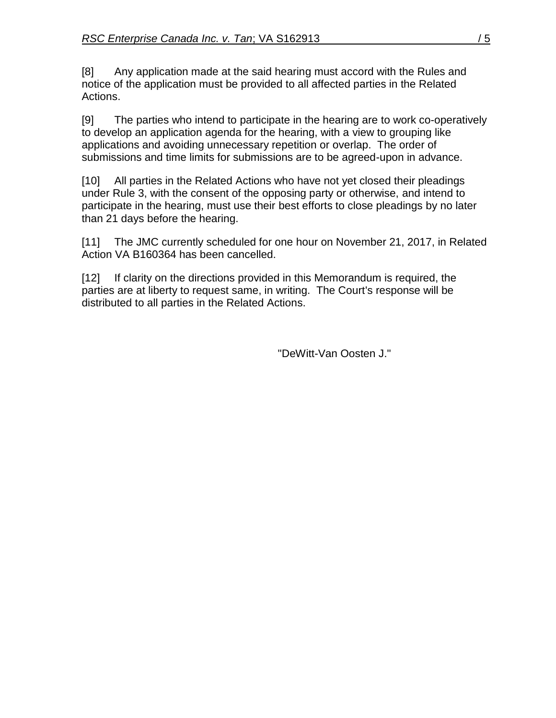[8] Any application made at the said hearing must accord with the Rules and notice of the application must be provided to all affected parties in the Related Actions.

[9] The parties who intend to participate in the hearing are to work co-operatively to develop an application agenda for the hearing, with a view to grouping like applications and avoiding unnecessary repetition or overlap. The order of submissions and time limits for submissions are to be agreed-upon in advance.

[10] All parties in the Related Actions who have not yet closed their pleadings under Rule 3, with the consent of the opposing party or otherwise, and intend to participate in the hearing, must use their best efforts to close pleadings by no later than 21 days before the hearing.

[11] The JMC currently scheduled for one hour on November 21, 2017, in Related Action VA B160364 has been cancelled.

[12] If clarity on the directions provided in this Memorandum is required, the parties are at liberty to request same, in writing. The Court's response will be distributed to all parties in the Related Actions.

"DeWitt-Van Oosten J."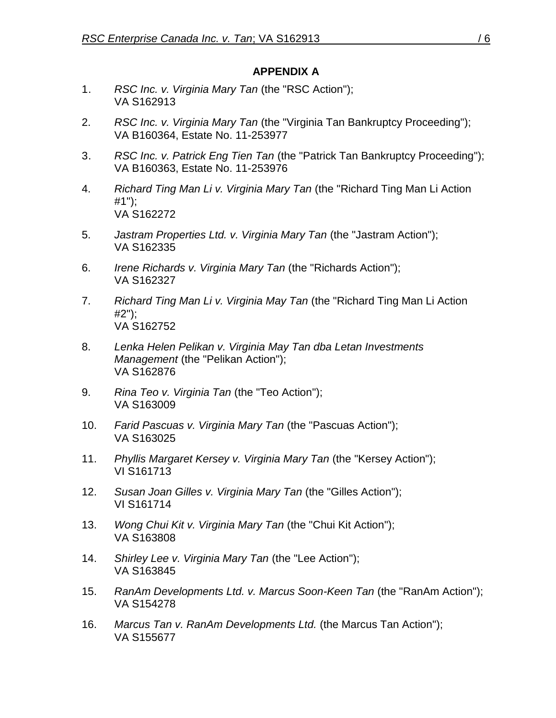## **APPENDIX A**

- 1. *RSC Inc. v. Virginia Mary Tan* (the "RSC Action"); VA S162913
- 2. *RSC Inc. v. Virginia Mary Tan* (the "Virginia Tan Bankruptcy Proceeding"); VA B160364, Estate No. 11-253977
- 3. *RSC Inc. v. Patrick Eng Tien Tan* (the "Patrick Tan Bankruptcy Proceeding"); VA B160363, Estate No. 11-253976
- 4. *Richard Ting Man Li v. Virginia Mary Tan* (the "Richard Ting Man Li Action #1"); VA S162272
- 5. *Jastram Properties Ltd. v. Virginia Mary Tan* (the "Jastram Action"); VA S162335
- 6. *Irene Richards v. Virginia Mary Tan* (the "Richards Action"); VA S162327
- 7. *Richard Ting Man Li v. Virginia May Tan* (the "Richard Ting Man Li Action #2"); VA S162752
- 8. *Lenka Helen Pelikan v. Virginia May Tan dba Letan Investments Management* (the "Pelikan Action"); VA S162876
- 9. *Rina Teo v. Virginia Tan* (the "Teo Action"); VA S163009
- 10. *Farid Pascuas v. Virginia Mary Tan* (the "Pascuas Action"); VA S163025
- 11. *Phyllis Margaret Kersey v. Virginia Mary Tan* (the "Kersey Action"); VI S161713
- 12. *Susan Joan Gilles v. Virginia Mary Tan* (the "Gilles Action"); VI S161714
- 13. *Wong Chui Kit v. Virginia Mary Tan* (the "Chui Kit Action"); VA S163808
- 14. *Shirley Lee v. Virginia Mary Tan* (the "Lee Action"); VA S163845
- 15. *RanAm Developments Ltd. v. Marcus Soon-Keen Tan* (the "RanAm Action"); VA S154278
- 16. *Marcus Tan v. RanAm Developments Ltd.* (the Marcus Tan Action"); VA S155677